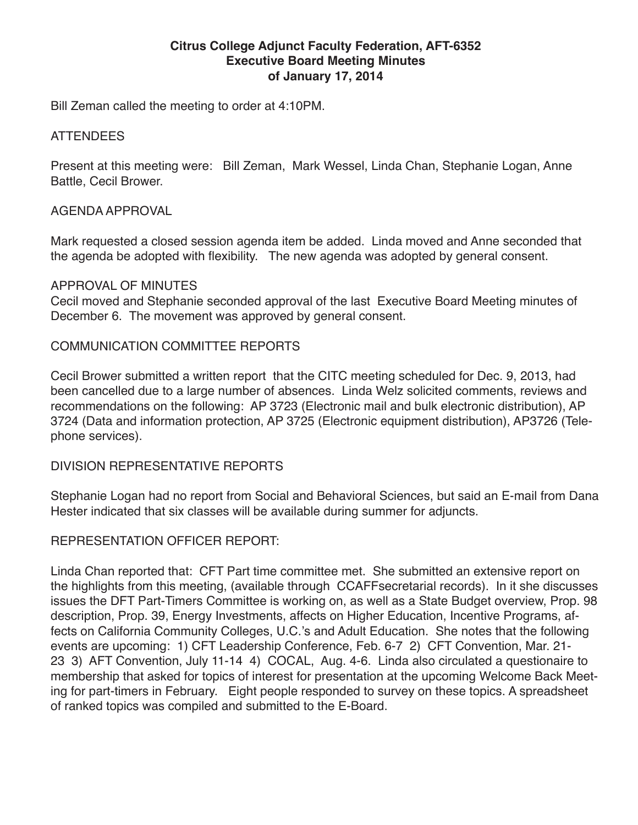### **Citrus College Adjunct Faculty Federation, AFT-6352 Executive Board Meeting Minutes of January 17, 2014**

Bill Zeman called the meeting to order at 4:10PM.

#### ATTENDEES

Present at this meeting were: Bill Zeman, Mark Wessel, Linda Chan, Stephanie Logan, Anne Battle, Cecil Brower.

#### AGENDA APPROVAL

Mark requested a closed session agenda item be added. Linda moved and Anne seconded that the agenda be adopted with flexibility. The new agenda was adopted by general consent.

#### APPROVAL OF MINUTES

Cecil moved and Stephanie seconded approval of the last Executive Board Meeting minutes of December 6. The movement was approved by general consent.

#### COMMUNICATION COMMITTEE REPORTS

Cecil Brower submitted a written report that the CITC meeting scheduled for Dec. 9, 2013, had been cancelled due to a large number of absences. Linda Welz solicited comments, reviews and recommendations on the following: AP 3723 (Electronic mail and bulk electronic distribution), AP 3724 (Data and information protection, AP 3725 (Electronic equipment distribution), AP3726 (Telephone services).

DIVISION REPRESENTATIVE REPORTS

Stephanie Logan had no report from Social and Behavioral Sciences, but said an E-mail from Dana Hester indicated that six classes will be available during summer for adjuncts.

#### REPRESENTATION OFFICER REPORT:

Linda Chan reported that: CFT Part time committee met. She submitted an extensive report on the highlights from this meeting, (available through CCAFFsecretarial records). In it she discusses issues the DFT Part-Timers Committee is working on, as well as a State Budget overview, Prop. 98 description, Prop. 39, Energy Investments, affects on Higher Education, Incentive Programs, affects on California Community Colleges, U.C.'s and Adult Education. She notes that the following events are upcoming: 1) CFT Leadership Conference, Feb. 6-7 2) CFT Convention, Mar. 21- 23 3) AFT Convention, July 11-14 4) COCAL, Aug. 4-6. Linda also circulated a questionaire to membership that asked for topics of interest for presentation at the upcoming Welcome Back Meeting for part-timers in February. Eight people responded to survey on these topics. A spreadsheet of ranked topics was compiled and submitted to the E-Board.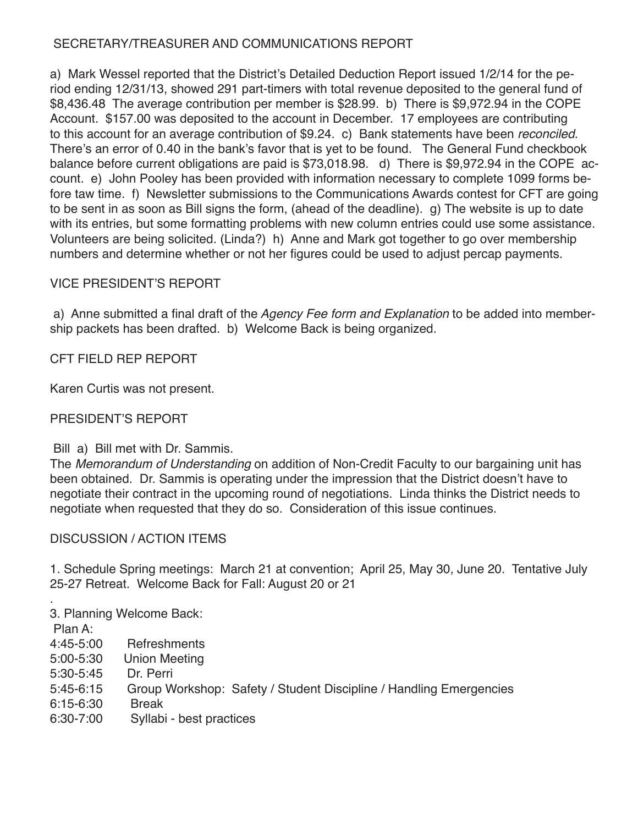# SECRETARY/TREASURER AND COMMUNICATIONS REPORT

a) Mark Wessel reported that the District's Detailed Deduction Report issued 1/2/14 for the period ending 12/31/13, showed 291 part-timers with total revenue deposited to the general fund of \$8,436.48 The average contribution per member is \$28.99. b) There is \$9,972.94 in the COPE Account. \$157.00 was deposited to the account in December. 17 employees are contributing to this account for an average contribution of \$9.24. c) Bank statements have been *reconciled.*  There's an error of 0.40 in the bank's favor that is yet to be found. The General Fund checkbook balance before current obligations are paid is \$73,018.98. d) There is \$9,972.94 in the COPE account. e) John Pooley has been provided with information necessary to complete 1099 forms before taw time. f) Newsletter submissions to the Communications Awards contest for CFT are going to be sent in as soon as Bill signs the form, (ahead of the deadline). g) The website is up to date with its entries, but some formatting problems with new column entries could use some assistance. Volunteers are being solicited. (Linda?) h) Anne and Mark got together to go over membership numbers and determine whether or not her figures could be used to adjust percap payments.

# VICE PRESIDENT'S REPORT

 a) Anne submitted a final draft of the *Agency Fee form and Explanation* to be added into membership packets has been drafted. b) Welcome Back is being organized.

# CFT FIELD REP REPORT

Karen Curtis was not present.

# PRESIDENT'S REPORT

Bill a) Bill met with Dr. Sammis.

The *Memorandum of Understanding* on addition of Non-Credit Faculty to our bargaining unit has been obtained. Dr. Sammis is operating under the impression that the District doesn't have to negotiate their contract in the upcoming round of negotiations. Linda thinks the District needs to negotiate when requested that they do so. Consideration of this issue continues.

# DISCUSSION / ACTION ITEMS

1. Schedule Spring meetings: March 21 at convention; April 25, May 30, June 20. Tentative July 25-27 Retreat. Welcome Back for Fall: August 20 or 21

. 3. Planning Welcome Back:

Plan A:

- 4:45-5:00 Refreshments
- 5:00-5:30 Union Meeting
- 5:30-5:45 Dr. Perri
- 5:45-6:15 Group Workshop: Safety / Student Discipline / Handling Emergencies
- 6:15-6:30 Break
- 6:30-7:00 Syllabi best practices